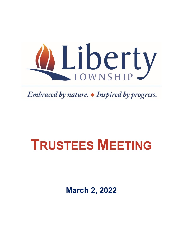

Embraced by nature.  $\blacklozenge$  Inspired by progress.

# **TRUSTEES MEETING**

**March 2, 2022**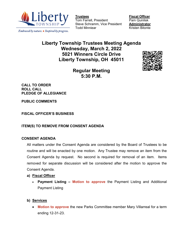

Embraced by nature.  $\triangle$  Inspired by progress.

Tom Farrell, President Steve Schramm, Vice President **Administrator** Todd Minniear **Kristen Bitonte** 

**<u>Fiscal Officer</u><br>Pam Quinlisk** 

# **Liberty Township Trustees Meeting Agenda Wednesday, March 2, 2022 5021 Winners Circle Drive Liberty Township, OH 45011**



**Regular Meeting 5:30 P.M.** 

**CALL TO ORDER ROLL CALL PLEDGE OF ALLEGIANCE**

**PUBLIC COMMENTS**

**FISCAL OFFICER'S BUSINESS**

**ITEM(S) TO REMOVE FROM CONSENT AGENDA**

#### **CONSENT AGENDA**

All matters under the Consent Agenda are considered by the Board of Trustees to be routine and will be enacted by one motion. Any Trustee may remove an item from the Consent Agenda by request. No second is required for removal of an item. Items removed for separate discussion will be considered after the motion to approve the Consent Agenda.

#### **a) Fiscal Officer**

- **Payment Listing Motion to approve** the Payment Listing and Additional Payment Listing
- **b) Services**
	- **Motion to approve** the new Parks Committee member Mary Villarreal for a term ending 12-31-23.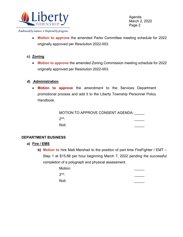

Agenda March 2, 2022 Page 2

Embraced by nature. • Inspired by progress.

- **Motion to approve** the amended Parks Committee meeting schedule for 2022 originally approved per Resolution 2022-003.
- **c) Zoning**
	- **Motion to approve** the amended Zoning Commission meeting schedule for 2022 originally approved per Resolution 2022-003.

#### **d) Administration**

• **Motion to approve** the amendment to the Services Department promotional process and add it to the Liberty Township Personnel Policy Handbook.

> MOTION TO APPROVE CONSENT AGENDA: \_\_\_\_\_ 2nd: \_\_\_\_\_ Roll: \_\_\_\_\_

#### **DEPARTMENT BUSINESS**

- **a) Fire / EMS**
	- **b) Motion to** hire Matt Mershad to the position of part time FireFighter / EMT Step 1 at \$15.88 per hour beginning March 7, 2022 pending the successful completion of a polygraph and physical assessment.

| Motion: |  |
|---------|--|
| $2nd$ : |  |
| Roll:   |  |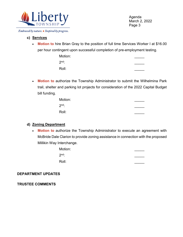

Agenda March 2, 2022 Page 3

#### Embraced by nature. • Inspired by progress.

## **c) Services**

• **Motion to** hire Brian Gray to the position of full time Services Worker I at \$16.00 per hour contingent upon successful completion of pre-employment testing.

| Motion: |  |
|---------|--|
| $2nd$ : |  |
| Roll:   |  |

• **Motion to** authorize the Township Administrator to submit the Wilhelmina Park trail, shelter and parking lot projects for consideration of the 2022 Capital Budget bill funding.

| Motion: |  |
|---------|--|
| $2nd$ : |  |
| Roll:   |  |

### **d) Zoning Department**

• **Motion to** authorize the Township Administrator to execute an agreement with McBride Dale Clarion to provide zoning assistance in connection with the proposed Millikin Way Interchange.

| Motion: |  |
|---------|--|
| $2nd$ : |  |
| Roll:   |  |

### **DEPARTMENT UPDATES**

**TRUSTEE COMMENTS**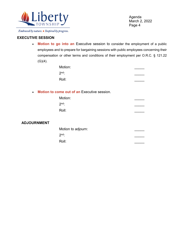

Agenda March 2, 2022 Page 4

#### Embraced by nature. • Inspired by progress.

#### **EXECUTIVE SESSION**

• **Motion to go into an** Executive session to consider the employment of a public employees and to prepare for bargaining sessions with public employees concerning their compensation or other terms and conditions of their employment per O.R.C. § 121.22  $(G)(4)$ .

| Motion: |  |
|---------|--|
| $2nd$ : |  |
| Roll:   |  |

• **Motion to come out of an** Executive session.

| Motion: |  |
|---------|--|
| $2nd$ : |  |
| Roll:   |  |
|         |  |

#### **ADJOURNMENT**

| Motion to adjourn: |  |
|--------------------|--|
| $2nd$ :            |  |
| Roll:              |  |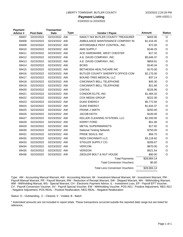| LIBERTY TOWNSHIP, BUTLER COUNTY |  |
|---------------------------------|--|
|                                 |  |

## **Payment Listing**

2/16/2022 to 2/23/2022

| <b>Payment</b><br>Advice # | <b>Post Date</b> | <b>Transaction</b><br><b>Date</b> | <b>Type</b> | Vendor / Payee                         | <b>Amount</b> | <b>Status</b> |
|----------------------------|------------------|-----------------------------------|-------------|----------------------------------------|---------------|---------------|
| 69407                      | 02/22/2022       | 02/22/2022 AW                     |             | NANCY NIX BUTLER COUNTY TREASUREF      | \$403.00      | $\circ$       |
| 69408                      | 02/23/2022       | 02/23/2022 AW                     |             | AMBULANCE MAINTENANCE COMPANY IN       | \$1,416.45    | O             |
| 69409                      | 02/23/2022       | 02/23/2022 AW                     |             | AFFORDABLE PEST CONTROL, INC.          | \$72.00       | O             |
| 69410                      | 02/23/2022       | 02/23/2022 AW                     |             | AMS SUPPLY                             | \$146.25      | $\circ$       |
| 69411                      | 02/23/2022       | 02/23/2022 AW                     |             | ACE HARDWARE, WEST CHESTER             | \$17.32       | O             |
| 69412                      | 02/23/2022       | 02/23/2022 AW                     |             | A.E. DAVID COMPANY, INC.               | \$5,646.37    | O             |
| 69413                      | 02/23/2022       | 02/23/2022 AW                     |             | A.E. DAVID COMPANY, INC.               | \$859.91      | $\circ$       |
| 69414                      | 02/23/2022       | 02/23/2022 AW                     |             | <b>BCWS</b>                            | \$140.34      | O             |
| 69415                      | 02/23/2022       | 02/23/2022 AW                     |             | BETHESDA HEALTHCARE INC                | \$170.00      | O             |
| 69416                      | 02/23/2022       | 02/23/2022 AW                     |             | BUTLER COUNTY SHERIFF'S OFFICE-COM     | \$2,175.00    | $\circ$       |
| 69417                      | 02/23/2022       | 02/23/2022 AW                     |             | <b>BOUND TREE MEDICAL LLC</b>          | \$37.14       | $\circ$       |
| 69418                      | 02/23/2022       | 02/23/2022 AW                     |             | CINCINNATI BELL TELEPHONE              | \$45.30       | $\circ$       |
| 69419                      | 02/23/2022       | 02/23/2022 AW                     |             | CINCINNATI BELL TELEPHONE              | \$21.66       | O             |
| 69420                      | 02/23/2022       | 02/23/2022 AW                     |             | <b>CINTAS</b>                          | \$226.96      | $\circ$       |
| 69421                      | 02/23/2022       | 02/23/2022 AW                     |             | CONDOR ELITE, INC.                     | \$1,484.32    | $\circ$       |
| 69422                      | 02/23/2022       | 02/23/2022 AW                     |             | <b>COX MEDIA GROUP</b>                 | \$222.30      | O             |
| 69423                      | 02/23/2022       | 02/23/2022 AW                     |             | <b>DUKE ENERGY</b>                     | \$5,772.94    | O             |
| 69424                      | 02/23/2022       | 02/23/2022 AW                     |             | <b>DUKE ENERGY</b>                     | \$1,644.37    | $\circ$       |
| 69425                      | 02/23/2022       | 02/23/2022 AW                     |             | <b>FRANK J SMITH</b>                   | \$200.00      | O             |
| 69426                      | 02/23/2022       | 02/23/2022 AW                     |             | <b>JACOB KEITH</b>                     | \$100.00      | O             |
| 69427                      | 02/23/2022       | 02/23/2022 AW                     |             | KELLER CLEANING SYSTEMS, LLC           | \$2,200.00    | $\circ$       |
| 69428                      | 02/23/2022       | 02/23/2022 AW                     |             | <b>KERRY FORD</b>                      | \$51.06       | O             |
| 69429                      | 02/23/2022       | 02/23/2022 AW                     |             | <b>METAL SUPERMARKETS</b>              | \$17.92       | $\circ$       |
| 69430                      | 02/23/2022       | 02/23/2022 AW                     |             | <b>National Testing Network</b>        | \$750.00      | O             |
| 69431                      | 02/23/2022       | 02/23/2022 AW                     |             | PRIDE SEALS, INC                       | \$56.70       | O             |
| 69432                      | 02/23/2022       | 02/23/2022 AW                     |             | <b>REDI CINCINNATI LLC</b>             | \$3,118.62    | $\circ$       |
| 69433                      | 02/23/2022       | 02/23/2022 AW                     |             | STIGLER SUPPLY CO.                     | \$206.67      | $\circ$       |
| 69434                      | 02/23/2022       | 02/23/2022 AW                     |             | <b>VERCOM</b>                          | \$870.00      | O             |
| 69435                      | 02/23/2022       | 02/23/2022 AW                     |             | <b>VERIZON</b>                         | \$521.54      | $\circ$       |
| 69436                      | 02/23/2022       | 02/23/2022 AW                     |             | ZIEGLER BOLT & NUT HOUSE               | \$90.00       | O             |
|                            |                  |                                   |             | <b>Total Payments:</b>                 | \$28,684.14   |               |
|                            |                  |                                   |             | <b>Total Conversion Vouchers:</b>      | \$0.00        |               |
|                            |                  |                                   |             | <b>Total Less Conversion Vouchers:</b> | \$28,684.14   |               |
|                            |                  |                                   |             |                                        |               |               |

Type: AM - Accounting Manual Warrant, AW - Accounting Warrant, IM - Investment Manual Warrant, IW - Investment Warrant, PM - Payroll Manual Warrant, PR - Payroll Warrant, RW - Reduction of Receipt Warrant, SW - Skipped Warrant, WH - Withholding Warrant, WM - Withholding Manual, WS - Special Warrant, CH - Electronic Payment Advice, IL - Investment Loss, EP - Payroll EFT Voucher, CV - Payroll Conversion Voucher, SV - Payroll Special Voucher, EW - Withholding Voucher, POS ADJ - Positive Adjustment, NEG ADJ - Negative Adjustment, POS REAL - Positive Reallocation, NEG REAL - Negative Reallocation

Status: O - Outstanding, C - Cleared, V - Voided, B - Batch

\* Asterisked amounts are not included in report totals. These transactions occurred outside the reported date range but are listed for reference.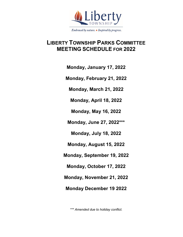

**LIBERTY TOWNSHIP PARKS COMMITTEE MEETING SCHEDULE FOR 2022**

**Monday, January 17, 2022**

**Monday, February 21, 2022**

**Monday, March 21, 2022**

**Monday, April 18, 2022**

**Monday, May 16, 2022**

**Monday, June 27, 2022\*\*\***

**Monday, July 18, 2022**

**Monday, August 15, 2022**

**Monday, September 19, 2022**

**Monday, October 17, 2022**

**Monday, November 21, 2022**

**Monday December 19 2022** 

*\*\*\* Amended due to holiday conflict.*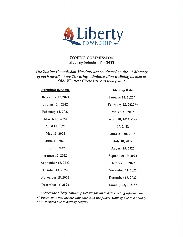

**ZONING COMMISSION Meeting Schedule for 2022** 

## The Zoning Commission Meetings are conducted on the 3rd Monday of each month at the Township Administration Building located at 5021 Winners Circle Drive at 6:00 p.m. \*

| <b>Submittal Deadline</b> | <b>Meeting Date</b>        |
|---------------------------|----------------------------|
| December 17, 2021         | January 24, 2022**         |
| <b>January 14, 2022</b>   | <b>February 28, 2022**</b> |
| <b>February 11, 2022</b>  | <b>March 21, 2022</b>      |
| March 18, 2022            | April 18, 2022 May         |
| April 15, 2022            | 16, 2022                   |
| May 13, 2022              | June 27, 2022***           |
| June 17, 2022             | <b>July 18, 2022</b>       |
| <b>July 15, 2022</b>      | <b>August 15, 2022</b>     |
| <b>August 12, 2022</b>    | September 19, 2022         |
| September 16, 2022        | October 17, 2022           |
| October 14, 2022          | <b>November 21, 2022</b>   |
| <b>November 18, 2022</b>  | December 19, 2022          |
| <b>December 16, 2022</b>  | January 23, 2023**         |

\* Check the Liberty Township website for up to date meeting information \*\* Please note that the meeting date is on the fourth Monday due to a holiday \*\*\* Amended due to holiday conflict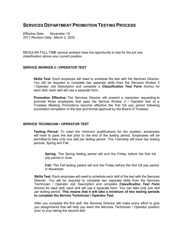## **SERVICES DEPARTMENTPROMOTION TESTING PROCESS**

*Effective Date: November 15, 2011 Revision Date: March 2, 2022*

REGULAR FULL-TIME service workers have the opportunity to test for the job one classification above your current position.

#### **SERVICE WORKER 2 / OPERATOR TEST**

**Skills Test:** Each employee will need to schedule the test with the Services Director. You will be required to complete two separate skills from the Services Worker 2 / Operator Job Description and complete a *Classification Test Form* (forms) for each skill; each skill will use a separate form.

**Promotion Effective:** The Services Director will present a resolution requesting to promote those employees that pass the Service Worker 2 / Operator test at a Trustees Meeting Promotions become effective the first full pay period following successful completion of the test and formal approval by the Board of Trustees.

#### **SERVICE TECHNICIAN / OPERATOR TEST**

**Testing Period:** To meet the minimum qualifications for the position, employees will have to pass the test prior to the end of the testing period. Employees will be permitted to take *only one skill per testing period*. The Township will have two testing periods: Spring and Fall.

**Spring:** The Spring testing period will end the Friday before the first full pay period in June.

**Fall:** The Fall testing period will end the Friday before the first full pay period in November

**Skills Test:** Each employee will need to schedule each skill of the test with the Services Director. You will be required to complete two separate skills from the Services Technician / Operator Job Description and complete *Classification Test Form* (forms) for each skill; each skill will use a separate form. You can take *only one skill per testing period*. **This means that it will take a minimum of two testing periods to complete the Service Technician / Operator Test.**

After you complete the first skill, the Services Director will make every effort to give you assignments that will help you learn the Services Technician / Operator position prior to your taking the second skill.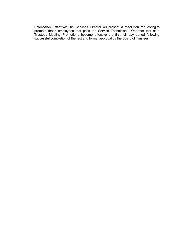**Promotion Effective:** The Services Director will present a resolution requesting to promote those employees that pass the Service Technician / Operator test at a Trustees Meeting Promotions become effective the first full pay period following successful completion of the test and formal approval by the Board of Trustees.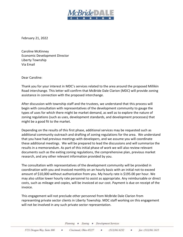

February 21, 2022

Caroline McKinney Economic Development Director Liberty Township Via Email

Dear Caroline:

Thank you for your interest in MDC's services related to the area around the proposed Millikin Road interchange. This letter will confirm that McBride Dale Clarion (MDC) will provide zoning assistance in connection with the proposed interchange.

After discussion with township staff and the trustees, we understand that this process will begin with consultation with representatives of the development community to gauge the types of uses for which there might be market demand, as well as to explore the nature of zoning regulations (such as uses, development standards, and development processes) that might be a good fit to the market.

Depending on the results of this first phase, additional services may be requested such as additional community outreach and drafting of zoning regulations for the area. We understand that you have had previous meetings with developers, and we assume you will coordinate these additional meetings. We will be prepared to lead the discussions and will summarize the results in a memorandum. As part of this initial phase of work we will also review relevant documents such as the exiting zoning regulations, the comprehensive plan, previous market research, and any other relevant information provided by you.

The consultation with representatives of the development community will be provided in coordination with you and invoiced monthly on an hourly basis with an initial not-to exceed amount of \$10,000 without authorization from you. My hourly rate is \$195.00 per hour. We may also utilize lower hourly rate personnel to assist as appropriate. Any reimbursable or direct costs, such as mileage and copies, will be invoiced at our cost. Payment is due on receipt of the invoice.

This engagement will not preclude other personnel from McBride Dale Clarion from representing private sector clients in Liberty Township. MDC staff working on this engagement will not be involved in any such private sector representation.

Planning = Zoning = Development Services